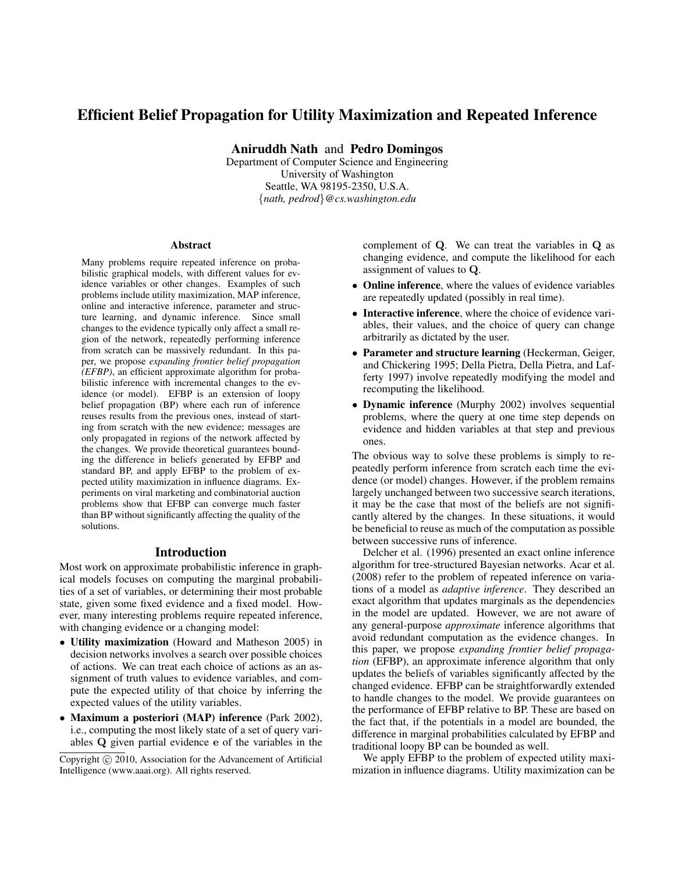# Efficient Belief Propagation for Utility Maximization and Repeated Inference

Aniruddh Nath and Pedro Domingos

Department of Computer Science and Engineering University of Washington Seattle, WA 98195-2350, U.S.A. {*nath, pedrod*}*@cs.washington.edu*

#### Abstract

Many problems require repeated inference on probabilistic graphical models, with different values for evidence variables or other changes. Examples of such problems include utility maximization, MAP inference, online and interactive inference, parameter and structure learning, and dynamic inference. Since small changes to the evidence typically only affect a small region of the network, repeatedly performing inference from scratch can be massively redundant. In this paper, we propose *expanding frontier belief propagation (EFBP)*, an efficient approximate algorithm for probabilistic inference with incremental changes to the evidence (or model). EFBP is an extension of loopy belief propagation (BP) where each run of inference reuses results from the previous ones, instead of starting from scratch with the new evidence; messages are only propagated in regions of the network affected by the changes. We provide theoretical guarantees bounding the difference in beliefs generated by EFBP and standard BP, and apply EFBP to the problem of expected utility maximization in influence diagrams. Experiments on viral marketing and combinatorial auction problems show that EFBP can converge much faster than BP without significantly affecting the quality of the solutions.

# Introduction

Most work on approximate probabilistic inference in graphical models focuses on computing the marginal probabilities of a set of variables, or determining their most probable state, given some fixed evidence and a fixed model. However, many interesting problems require repeated inference, with changing evidence or a changing model:

- Utility maximization (Howard and Matheson 2005) in decision networks involves a search over possible choices of actions. We can treat each choice of actions as an assignment of truth values to evidence variables, and compute the expected utility of that choice by inferring the expected values of the utility variables.
- Maximum a posteriori (MAP) inference (Park 2002), i.e., computing the most likely state of a set of query variables Q given partial evidence e of the variables in the

complement of Q. We can treat the variables in Q as changing evidence, and compute the likelihood for each assignment of values to Q.

- Online inference, where the values of evidence variables are repeatedly updated (possibly in real time).
- Interactive inference, where the choice of evidence variables, their values, and the choice of query can change arbitrarily as dictated by the user.
- Parameter and structure learning (Heckerman, Geiger, and Chickering 1995; Della Pietra, Della Pietra, and Lafferty 1997) involve repeatedly modifying the model and recomputing the likelihood.
- Dynamic inference (Murphy 2002) involves sequential problems, where the query at one time step depends on evidence and hidden variables at that step and previous ones.

The obvious way to solve these problems is simply to repeatedly perform inference from scratch each time the evidence (or model) changes. However, if the problem remains largely unchanged between two successive search iterations, it may be the case that most of the beliefs are not significantly altered by the changes. In these situations, it would be beneficial to reuse as much of the computation as possible between successive runs of inference.

Delcher et al. (1996) presented an exact online inference algorithm for tree-structured Bayesian networks. Acar et al. (2008) refer to the problem of repeated inference on variations of a model as *adaptive inference*. They described an exact algorithm that updates marginals as the dependencies in the model are updated. However, we are not aware of any general-purpose *approximate* inference algorithms that avoid redundant computation as the evidence changes. In this paper, we propose *expanding frontier belief propagation* (EFBP), an approximate inference algorithm that only updates the beliefs of variables significantly affected by the changed evidence. EFBP can be straightforwardly extended to handle changes to the model. We provide guarantees on the performance of EFBP relative to BP. These are based on the fact that, if the potentials in a model are bounded, the difference in marginal probabilities calculated by EFBP and traditional loopy BP can be bounded as well.

We apply EFBP to the problem of expected utility maximization in influence diagrams. Utility maximization can be

Copyright (c) 2010, Association for the Advancement of Artificial Intelligence (www.aaai.org). All rights reserved.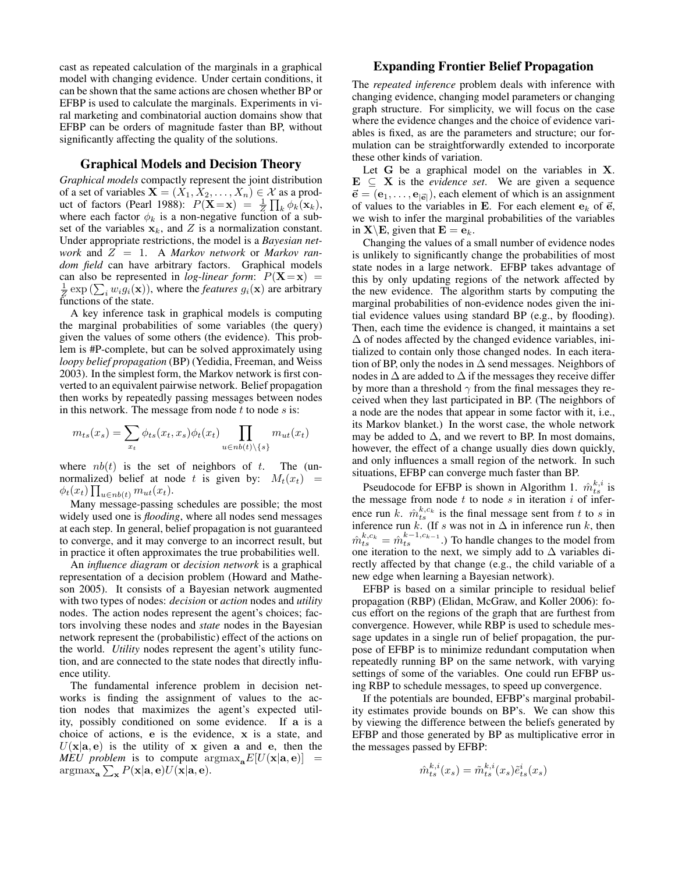cast as repeated calculation of the marginals in a graphical model with changing evidence. Under certain conditions, it can be shown that the same actions are chosen whether BP or EFBP is used to calculate the marginals. Experiments in viral marketing and combinatorial auction domains show that EFBP can be orders of magnitude faster than BP, without significantly affecting the quality of the solutions.

## Graphical Models and Decision Theory

*Graphical models* compactly represent the joint distribution of a set of variables  $X = (X_1, X_2, \ldots, X_n) \in \mathcal{X}$  as a product of factors (Pearl 1988):  $P(\mathbf{X} = \mathbf{x}) = \frac{1}{Z} \prod_k \phi_k(\mathbf{x}_k)$ , where each factor  $\phi_k$  is a non-negative function of a subset of the variables  $x_k$ , and Z is a normalization constant. Under appropriate restrictions, the model is a *Bayesian network* and Z = 1. A *Markov network* or *Markov random field* can have arbitrary factors. Graphical models can also be represented in *log-linear form*:  $P(X=x)$  =  $\frac{1}{z}$  exp ( $\sum_i w_i g_i(\mathbf{x})$ ), where the *features*  $g_i(\mathbf{x})$  are arbitrary functions of the state.

A key inference task in graphical models is computing the marginal probabilities of some variables (the query) given the values of some others (the evidence). This problem is #P-complete, but can be solved approximately using *loopy belief propagation* (BP) (Yedidia, Freeman, and Weiss 2003). In the simplest form, the Markov network is first converted to an equivalent pairwise network. Belief propagation then works by repeatedly passing messages between nodes in this network. The message from node  $t$  to node  $s$  is:

$$
m_{ts}(x_s) = \sum_{x_t} \phi_{ts}(x_t, x_s) \phi_t(x_t) \prod_{u \in nb(t) \setminus \{s\}} m_{ut}(x_t)
$$

where  $nb(t)$  is the set of neighbors of t. The (unnormalized) belief at node t is given by:  $M_t(x_t)$  =  $\phi_t(x_t) \prod_{u \in nb(t)} m_{ut}(x_t)$ .

Many message-passing schedules are possible; the most widely used one is *flooding*, where all nodes send messages at each step. In general, belief propagation is not guaranteed to converge, and it may converge to an incorrect result, but in practice it often approximates the true probabilities well.

An *influence diagram* or *decision network* is a graphical representation of a decision problem (Howard and Matheson 2005). It consists of a Bayesian network augmented with two types of nodes: *decision* or *action* nodes and *utility* nodes. The action nodes represent the agent's choices; factors involving these nodes and *state* nodes in the Bayesian network represent the (probabilistic) effect of the actions on the world. *Utility* nodes represent the agent's utility function, and are connected to the state nodes that directly influence utility.

The fundamental inference problem in decision networks is finding the assignment of values to the action nodes that maximizes the agent's expected utility, possibly conditioned on some evidence. If a is a choice of actions, e is the evidence, x is a state, and  $U(x|\mathbf{a}, \mathbf{e})$  is the utility of x given a and e, then the *MEU problem* is to compute  $\arg \max_{\mathbf{a}} E[U(\mathbf{x}|\mathbf{a}, \mathbf{e})] =$  $\operatorname{argmax}_{\mathbf{a}} \sum_{\mathbf{x}} P(\mathbf{x}|\mathbf{a}, \mathbf{e}) U(\mathbf{x}|\mathbf{a}, \mathbf{e}).$ 

# Expanding Frontier Belief Propagation

The *repeated inference* problem deals with inference with changing evidence, changing model parameters or changing graph structure. For simplicity, we will focus on the case where the evidence changes and the choice of evidence variables is fixed, as are the parameters and structure; our formulation can be straightforwardly extended to incorporate these other kinds of variation.

Let G be a graphical model on the variables in X.  $E \subseteq X$  is the *evidence set*. We are given a sequence  $\vec{\mathbf{e}} = (\mathbf{e}_1, \dots, \mathbf{e}_{|\vec{\mathbf{e}}|})$ , each element of which is an assignment of values to the variables in E. For each element  $e_k$  of  $\vec{e}$ , we wish to infer the marginal probabilities of the variables in  $X \setminus E$ , given that  $E = e_k$ .

Changing the values of a small number of evidence nodes is unlikely to significantly change the probabilities of most state nodes in a large network. EFBP takes advantage of this by only updating regions of the network affected by the new evidence. The algorithm starts by computing the marginal probabilities of non-evidence nodes given the initial evidence values using standard BP (e.g., by flooding). Then, each time the evidence is changed, it maintains a set  $\Delta$  of nodes affected by the changed evidence variables, initialized to contain only those changed nodes. In each iteration of BP, only the nodes in  $\Delta$  send messages. Neighbors of nodes in  $\Delta$  are added to  $\Delta$  if the messages they receive differ by more than a threshold  $\gamma$  from the final messages they received when they last participated in BP. (The neighbors of a node are the nodes that appear in some factor with it, i.e., its Markov blanket.) In the worst case, the whole network may be added to  $\Delta$ , and we revert to BP. In most domains, however, the effect of a change usually dies down quickly, and only influences a small region of the network. In such situations, EFBP can converge much faster than BP.

Pseudocode for EFBP is shown in Algorithm 1.  $\hat{m}_{ts}^{k,i}$  is the message from node  $t$  to node  $s$  in iteration  $i$  of inference run k.  $\hat{m}_{ts}^{k,c_k}$  is the final message sent from t to s in inference run k. (If s was not in  $\Delta$  in inference run k, then  $\hat{m}^{k,c_k}_{ts} = \hat{m}^{k-1,c_{k-1}}_{ts}$ .) To handle changes to the model from one iteration to the next, we simply add to  $\Delta$  variables directly affected by that change (e.g., the child variable of a new edge when learning a Bayesian network).

EFBP is based on a similar principle to residual belief propagation (RBP) (Elidan, McGraw, and Koller 2006): focus effort on the regions of the graph that are furthest from convergence. However, while RBP is used to schedule message updates in a single run of belief propagation, the purpose of EFBP is to minimize redundant computation when repeatedly running BP on the same network, with varying settings of some of the variables. One could run EFBP using RBP to schedule messages, to speed up convergence.

If the potentials are bounded, EFBP's marginal probability estimates provide bounds on BP's. We can show this by viewing the difference between the beliefs generated by EFBP and those generated by BP as multiplicative error in the messages passed by EFBP:

$$
\hat{m}_{ts}^{k,i}(x_s) = \tilde{m}_{ts}^{k,i}(x_s)\tilde{e}_{ts}^i(x_s)
$$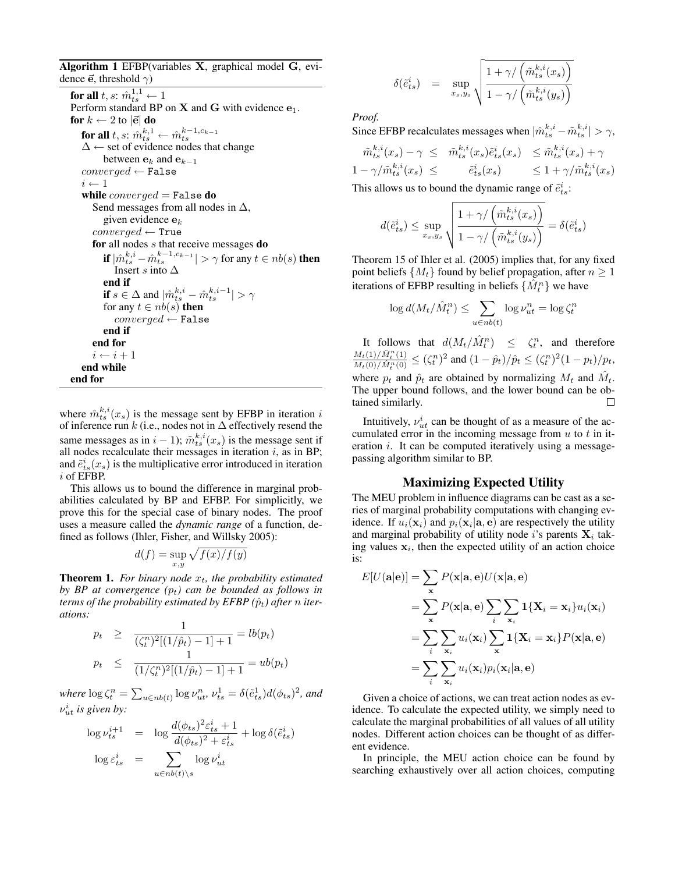Algorithm 1 EFBP(variables X, graphical model G, evidence  $\vec{e}$ , threshold  $\gamma$ )

for all  $t,s$ :  $\hat{m}^{1,1}_{ts} \leftarrow 1$ Perform standard BP on  $X$  and  $G$  with evidence  $e_1$ . for  $k \leftarrow 2$  to  $|\vec{e}|$  do for all  $t, s: \hat{m}_{ts}^{k,1} \leftarrow \hat{m}_{ts}^{k-1, c_{k-1}}$  $\Delta \leftarrow$  set of evidence nodes that change between  $e_k$  and  $e_{k-1}$  $converged \leftarrow$  False  $i \leftarrow 1$ while  $converged = False$  do Send messages from all nodes in  $\Delta$ , given evidence  $e_k$  $converged \leftarrow True$ for all nodes s that receive messages do if  $|\hat{m}_{ts}^{k,i} - \hat{m}_{ts}^{k-1,c_{k-1}}| > \gamma$  for any  $t \in nb(s)$  then Insert s into  $\Delta$ end if **if**  $s \in \Delta$  and  $|\hat{m}_{ts}^{k,i} - \hat{m}_{ts}^{k,i-1}| > \gamma$ for any  $t \in nb(s)$  then  $converged \leftarrow$  False end if end for  $i \leftarrow i + 1$ end while end for

where  $\hat{m}_{ts}^{k,i}(x_s)$  is the message sent by EFBP in iteration i of inference run $k$  (i.e., nodes not in  $\Delta$  effectively resend the same messages as in  $i - 1$ );  $\tilde{m}^{k,i}_{ts}(x_s)$  is the message sent if all nodes recalculate their messages in iteration  $i$ , as in BP; and  $\tilde{e}_{ts}^{i}(x_s)$  is the multiplicative error introduced in iteration i of EFBP.

This allows us to bound the difference in marginal probabilities calculated by BP and EFBP. For simplicitly, we prove this for the special case of binary nodes. The proof uses a measure called the *dynamic range* of a function, defined as follows (Ihler, Fisher, and Willsky 2005):

$$
d(f) = \sup_{x,y} \sqrt{f(x)/f(y)}
$$

**Theorem 1.** *For binary node*  $x_t$ *, the probability estimated by BP at convergence*  $(p_t)$  *can be bounded as follows in terms of the probability estimated by EFBP*  $(\hat{p}_t)$  *after n iterations:*

$$
p_t \ge \frac{1}{(\zeta_t^n)^2 [(1/\hat{p}_t) - 1] + 1} = lb(p_t)
$$
  

$$
p_t \le \frac{1}{(1/\zeta_t^n)^2 [(1/\hat{p}_t) - 1] + 1} = ub(p_t)
$$

where  $\log \zeta_t^n = \sum_{u \in nb(t)} \log \nu_{ut}^n$ ,  $\nu_{ts}^1 = \delta(\tilde{e}_{ts}^1)d(\phi_{ts})^2$ , and  $\nu_{ut}^i$  is given by:

$$
\log \nu_{ts}^{i+1} = \log \frac{d(\phi_{ts})^2 \varepsilon_{ts}^i + 1}{d(\phi_{ts})^2 + \varepsilon_{ts}^i} + \log \delta(\tilde{e}_{ts}^i)
$$

$$
\log \varepsilon_{ts}^i = \sum_{u \in nb(t) \setminus s} \log \nu_{ut}^i
$$

$$
\delta(\tilde{e}_{ts}^i) = \sup_{x_s, y_s} \sqrt{\frac{1 + \gamma / (\tilde{m}_{ts}^{k,i}(x_s))}{1 - \gamma / (\tilde{m}_{ts}^{k,i}(y_s))}}
$$

*Proof.*

Since EFBP recalculates messages when  $|\hat{m}^{k,i}_{ts} - \tilde{m}^{k,i}_{ts}| > \gamma$ ,

$$
\begin{aligned}\n\tilde{m}_{ts}^{k,i}(x_s) - \gamma &\leq \tilde{m}_{ts}^{k,i}(x_s)\tilde{e}_{ts}^i(x_s) \quad &\leq \tilde{m}_{ts}^{k,i}(x_s) + \gamma \\
1 - \gamma/\tilde{m}_{ts}^{k,i}(x_s) &\leq \tilde{e}_{ts}^i(x_s) \quad &\leq 1 + \gamma/\tilde{m}_{ts}^{k,i}(x_s)\n\end{aligned}
$$

This allows us to bound the dynamic range of  $\tilde{e}_{ts}^i$ :

$$
d(\tilde{e}_{ts}^i) \leq \sup_{x_s,y_s} \sqrt{\frac{1 + \gamma/\left(\tilde{m}_{ts}^{k,i}(x_s)\right)}{1 - \gamma/\left(\tilde{m}_{ts}^{k,i}(y_s)\right)}} = \delta(\tilde{e}_{ts}^i)
$$

Theorem 15 of Ihler et al. (2005) implies that, for any fixed point beliefs  $\{M_t\}$  found by belief propagation, after  $n \geq 1$ iterations of EFBP resulting in beliefs  $\{\hat{M}_t^n\}$  we have

$$
\log d(M_t/\hat{M}_t^n) \le \sum_{u \in nb(t)} \log \nu_{ut}^n = \log \zeta_t^n
$$

It follows that  $d(M_t/\hat{M}_t^n) \leq \zeta_t^n$ , and therefore  $M_t(1)/\hat{M}_t^n(1)$  $\frac{M_t(1)/M_t^{\alpha}(1)}{M_t(0)/\hat{M}_t^{\alpha}(0)} \leq (\zeta_t^n)^2$  and  $(1-\hat{p}_t)/\hat{p}_t \leq (\zeta_t^n)^2(1-p_t)/p_t$ , where  $p_t$  and  $\hat{p}_t$  are obtained by normalizing  $M_t$  and  $\hat{M}_t$ . The upper bound follows, and the lower bound can be obtained similarly.  $\Box$ 

Intuitively,  $v_{ut}^{i}$  can be thought of as a measure of the accumulated error in the incoming message from  $u$  to  $t$  in iteration *i*. It can be computed iteratively using a messagepassing algorithm similar to BP.

### Maximizing Expected Utility

The MEU problem in influence diagrams can be cast as a series of marginal probability computations with changing evidence. If  $u_i(\mathbf{x}_i)$  and  $p_i(\mathbf{x}_i|\mathbf{a}, \mathbf{e})$  are respectively the utility and marginal probability of utility node i's parents  $\mathbf{X}_i$  taking values  $x_i$ , then the expected utility of an action choice is:

$$
E[U(\mathbf{a}|\mathbf{e})] = \sum_{\mathbf{x}} P(\mathbf{x}|\mathbf{a}, \mathbf{e}) U(\mathbf{x}|\mathbf{a}, \mathbf{e})
$$
  
= 
$$
\sum_{\mathbf{x}} P(\mathbf{x}|\mathbf{a}, \mathbf{e}) \sum_{i} \sum_{\mathbf{x}_i} \mathbf{1} \{ \mathbf{X}_i = \mathbf{x}_i \} u_i(\mathbf{x}_i)
$$
  
= 
$$
\sum_{i} \sum_{\mathbf{x}_i} u_i(\mathbf{x}_i) \sum_{\mathbf{x}} \mathbf{1} \{ \mathbf{X}_i = \mathbf{x}_i \} P(\mathbf{x}|\mathbf{a}, \mathbf{e})
$$
  
= 
$$
\sum_{i} \sum_{\mathbf{x}_i} u_i(\mathbf{x}_i) p_i(\mathbf{x}_i|\mathbf{a}, \mathbf{e})
$$

Given a choice of actions, we can treat action nodes as evidence. To calculate the expected utility, we simply need to calculate the marginal probabilities of all values of all utility nodes. Different action choices can be thought of as different evidence.

In principle, the MEU action choice can be found by searching exhaustively over all action choices, computing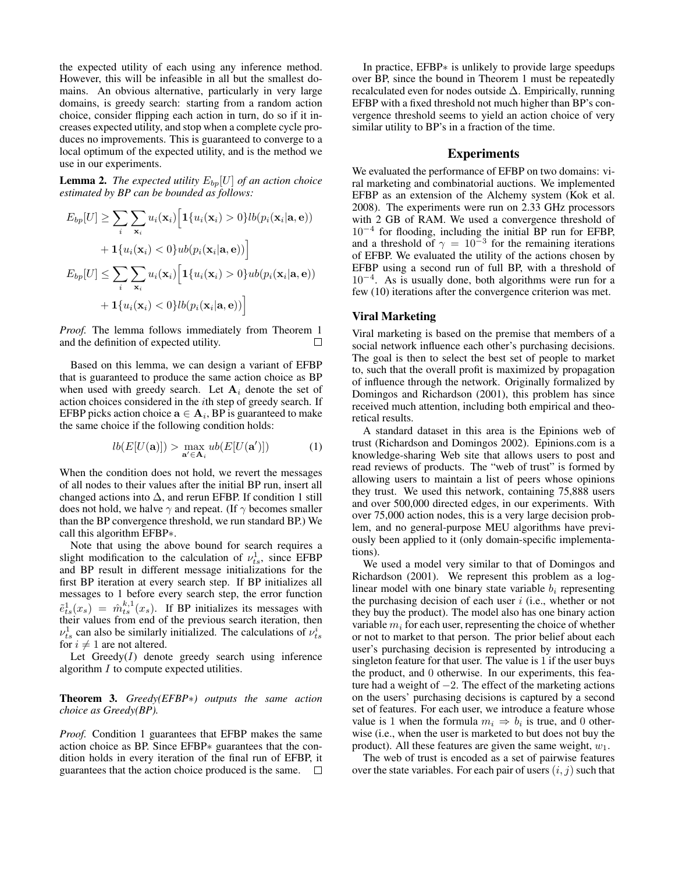the expected utility of each using any inference method. However, this will be infeasible in all but the smallest domains. An obvious alternative, particularly in very large domains, is greedy search: starting from a random action choice, consider flipping each action in turn, do so if it increases expected utility, and stop when a complete cycle produces no improvements. This is guaranteed to converge to a local optimum of the expected utility, and is the method we use in our experiments.

**Lemma 2.** *The expected utility*  $E_{bp}[U]$  *of an action choice estimated by BP can be bounded as follows:*

$$
E_{bp}[U] \geq \sum_{i} \sum_{\mathbf{x}_i} u_i(\mathbf{x}_i) \Big[ \mathbf{1} \{ u_i(\mathbf{x}_i) > 0 \} lb(p_i(\mathbf{x}_i|\mathbf{a}, \mathbf{e})) + \mathbf{1} \{ u_i(\mathbf{x}_i) < 0 \} ub(p_i(\mathbf{x}_i|\mathbf{a}, \mathbf{e})) \Big]
$$
  

$$
E_{bp}[U] \leq \sum_{i} \sum_{\mathbf{x}_i} u_i(\mathbf{x}_i) \Big[ \mathbf{1} \{ u_i(\mathbf{x}_i) > 0 \} ub(p_i(\mathbf{x}_i|\mathbf{a}, \mathbf{e})) + \mathbf{1} \{ u_i(\mathbf{x}_i) < 0 \} lb(p_i(\mathbf{x}_i|\mathbf{a}, \mathbf{e})) \Big]
$$

*Proof.* The lemma follows immediately from Theorem 1 and the definition of expected utility.  $\Box$ 

Based on this lemma, we can design a variant of EFBP that is guaranteed to produce the same action choice as BP when used with greedy search. Let  $A_i$  denote the set of action choices considered in the ith step of greedy search. If EFBP picks action choice  $\mathbf{a} \in \mathbf{A}_i$ , BP is guaranteed to make the same choice if the following condition holds:

$$
lb(E[U(\mathbf{a})]) > \max_{\mathbf{a}' \in \mathbf{A}_i} ub(E[U(\mathbf{a}')] )
$$
 (1)

When the condition does not hold, we revert the messages of all nodes to their values after the initial BP run, insert all changed actions into  $\Delta$ , and rerun EFBP. If condition 1 still does not hold, we halve  $\gamma$  and repeat. (If  $\gamma$  becomes smaller than the BP convergence threshold, we run standard BP.) We call this algorithm EFBP∗.

Note that using the above bound for search requires a slight modification to the calculation of  $\nu_{ts}^1$ , since EFBP and BP result in different message initializations for the first BP iteration at every search step. If BP initializes all messages to 1 before every search step, the error function  $\tilde{e}_{ts}^1(x_s) = \hat{m}_{ts}^{k,1}(x_s)$ . If BP initializes its messages with their values from end of the previous search iteration, then  $v_{ts}^1$  can also be similarly initialized. The calculations of  $v_{ts}^i$ for  $i \neq 1$  are not altered.

Let  $Greedy(I)$  denote greedy search using inference algorithm  $I$  to compute expected utilities.

Theorem 3. *Greedy(EFBP*∗*) outputs the same action choice as Greedy(BP).*

*Proof.* Condition 1 guarantees that EFBP makes the same action choice as BP. Since EFBP∗ guarantees that the condition holds in every iteration of the final run of EFBP, it guarantees that the action choice produced is the same.  $\Box$ 

In practice, EFBP∗ is unlikely to provide large speedups over BP, since the bound in Theorem 1 must be repeatedly recalculated even for nodes outside  $\Delta$ . Empirically, running EFBP with a fixed threshold not much higher than BP's convergence threshold seems to yield an action choice of very similar utility to BP's in a fraction of the time.

## Experiments

We evaluated the performance of EFBP on two domains: viral marketing and combinatorial auctions. We implemented EFBP as an extension of the Alchemy system (Kok et al. 2008). The experiments were run on 2.33 GHz processors with 2 GB of RAM. We used a convergence threshold of 10−<sup>4</sup> for flooding, including the initial BP run for EFBP, and a threshold of  $\gamma = 10^{-3}$  for the remaining iterations of EFBP. We evaluated the utility of the actions chosen by EFBP using a second run of full BP, with a threshold of 10−<sup>4</sup> . As is usually done, both algorithms were run for a few (10) iterations after the convergence criterion was met.

## Viral Marketing

Viral marketing is based on the premise that members of a social network influence each other's purchasing decisions. The goal is then to select the best set of people to market to, such that the overall profit is maximized by propagation of influence through the network. Originally formalized by Domingos and Richardson (2001), this problem has since received much attention, including both empirical and theoretical results.

A standard dataset in this area is the Epinions web of trust (Richardson and Domingos 2002). Epinions.com is a knowledge-sharing Web site that allows users to post and read reviews of products. The "web of trust" is formed by allowing users to maintain a list of peers whose opinions they trust. We used this network, containing 75,888 users and over 500,000 directed edges, in our experiments. With over 75,000 action nodes, this is a very large decision problem, and no general-purpose MEU algorithms have previously been applied to it (only domain-specific implementations).

We used a model very similar to that of Domingos and Richardson (2001). We represent this problem as a loglinear model with one binary state variable  $b_i$  representing the purchasing decision of each user  $i$  (i.e., whether or not they buy the product). The model also has one binary action variable  $m_i$  for each user, representing the choice of whether or not to market to that person. The prior belief about each user's purchasing decision is represented by introducing a singleton feature for that user. The value is 1 if the user buys the product, and 0 otherwise. In our experiments, this feature had a weight of  $-2$ . The effect of the marketing actions on the users' purchasing decisions is captured by a second set of features. For each user, we introduce a feature whose value is 1 when the formula  $m_i \Rightarrow b_i$  is true, and 0 otherwise (i.e., when the user is marketed to but does not buy the product). All these features are given the same weight,  $w_1$ .

The web of trust is encoded as a set of pairwise features over the state variables. For each pair of users  $(i, j)$  such that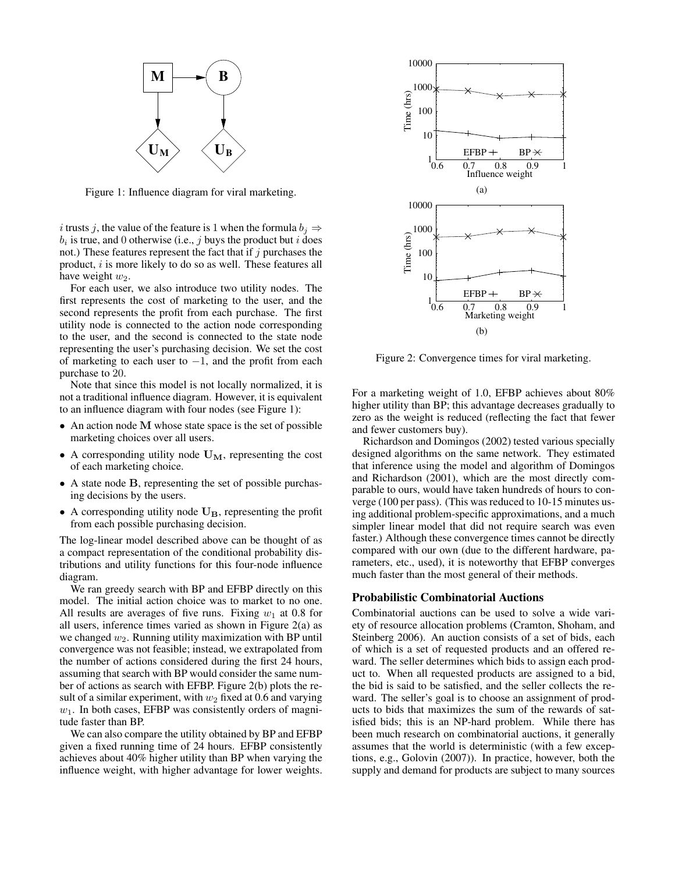

Figure 1: Influence diagram for viral marketing.

*i* trusts *j*, the value of the feature is 1 when the formula  $b_i \Rightarrow$  $b_i$  is true, and 0 otherwise (i.e., j buys the product but i does not.) These features represent the fact that if  $j$  purchases the product, i is more likely to do so as well. These features all have weight  $w_2$ .

For each user, we also introduce two utility nodes. The first represents the cost of marketing to the user, and the second represents the profit from each purchase. The first utility node is connected to the action node corresponding to the user, and the second is connected to the state node representing the user's purchasing decision. We set the cost of marketing to each user to  $-1$ , and the profit from each purchase to 20.

Note that since this model is not locally normalized, it is not a traditional influence diagram. However, it is equivalent to an influence diagram with four nodes (see Figure 1):

- An action node M whose state space is the set of possible marketing choices over all users.
- A corresponding utility node  $U_M$ , representing the cost of each marketing choice.
- A state node B, representing the set of possible purchasing decisions by the users.
- A corresponding utility node  $\mathbf{U}_{\mathbf{B}}$ , representing the profit from each possible purchasing decision.

The log-linear model described above can be thought of as a compact representation of the conditional probability distributions and utility functions for this four-node influence diagram.

We ran greedy search with BP and EFBP directly on this model. The initial action choice was to market to no one. All results are averages of five runs. Fixing  $w_1$  at 0.8 for all users, inference times varied as shown in Figure 2(a) as we changed  $w_2$ . Running utility maximization with BP until convergence was not feasible; instead, we extrapolated from the number of actions considered during the first 24 hours, assuming that search with BP would consider the same number of actions as search with EFBP. Figure 2(b) plots the result of a similar experiment, with  $w_2$  fixed at 0.6 and varying  $w_1$ . In both cases, EFBP was consistently orders of magnitude faster than BP.

We can also compare the utility obtained by BP and EFBP given a fixed running time of 24 hours. EFBP consistently achieves about 40% higher utility than BP when varying the influence weight, with higher advantage for lower weights.



Figure 2: Convergence times for viral marketing.

For a marketing weight of 1.0, EFBP achieves about 80% higher utility than BP; this advantage decreases gradually to zero as the weight is reduced (reflecting the fact that fewer and fewer customers buy).

Richardson and Domingos (2002) tested various specially designed algorithms on the same network. They estimated that inference using the model and algorithm of Domingos and Richardson (2001), which are the most directly comparable to ours, would have taken hundreds of hours to converge (100 per pass). (This was reduced to 10-15 minutes using additional problem-specific approximations, and a much simpler linear model that did not require search was even faster.) Although these convergence times cannot be directly compared with our own (due to the different hardware, parameters, etc., used), it is noteworthy that EFBP converges much faster than the most general of their methods.

### Probabilistic Combinatorial Auctions

Combinatorial auctions can be used to solve a wide variety of resource allocation problems (Cramton, Shoham, and Steinberg 2006). An auction consists of a set of bids, each of which is a set of requested products and an offered reward. The seller determines which bids to assign each product to. When all requested products are assigned to a bid, the bid is said to be satisfied, and the seller collects the reward. The seller's goal is to choose an assignment of products to bids that maximizes the sum of the rewards of satisfied bids; this is an NP-hard problem. While there has been much research on combinatorial auctions, it generally assumes that the world is deterministic (with a few exceptions, e.g., Golovin (2007)). In practice, however, both the supply and demand for products are subject to many sources